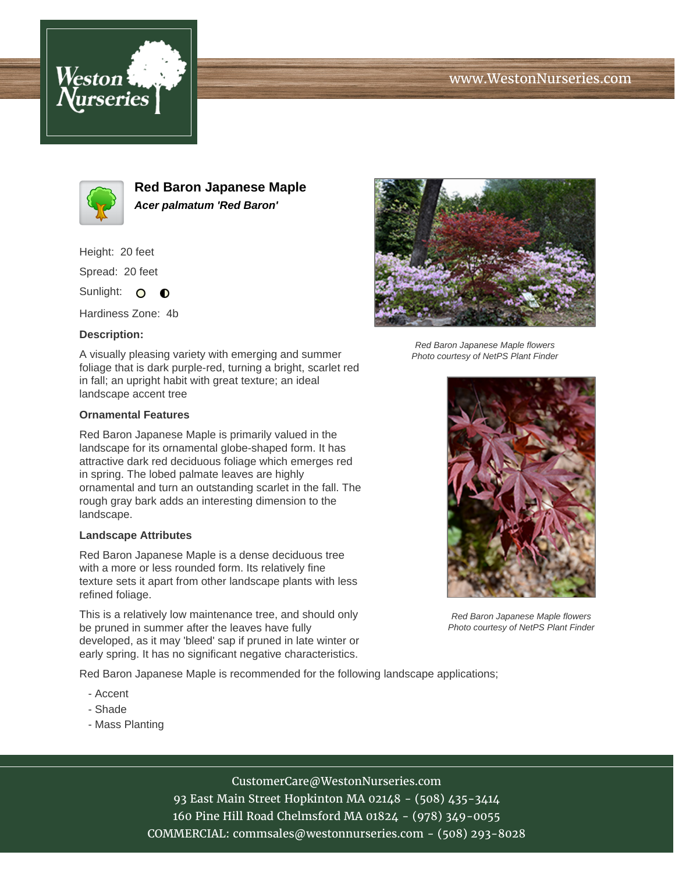





**Red Baron Japanese Maple Acer palmatum 'Red Baron'**

Height: 20 feet

Spread: 20 feet

Sunlight: O **O** 

Hardiness Zone: 4b

## **Description:**

A visually pleasing variety with emerging and summer foliage that is dark purple-red, turning a bright, scarlet red in fall; an upright habit with great texture; an ideal landscape accent tree

## **Ornamental Features**

Red Baron Japanese Maple is primarily valued in the landscape for its ornamental globe-shaped form. It has attractive dark red deciduous foliage which emerges red in spring. The lobed palmate leaves are highly ornamental and turn an outstanding scarlet in the fall. The rough gray bark adds an interesting dimension to the landscape.

## **Landscape Attributes**

Red Baron Japanese Maple is a dense deciduous tree with a more or less rounded form. Its relatively fine texture sets it apart from other landscape plants with less refined foliage.

This is a relatively low maintenance tree, and should only be pruned in summer after the leaves have fully developed, as it may 'bleed' sap if pruned in late winter or early spring. It has no significant negative characteristics.

Red Baron Japanese Maple is recommended for the following landscape applications;

- Accent
- Shade
- Mass Planting



Red Baron Japanese Maple flowers Photo courtesy of NetPS Plant Finder



Red Baron Japanese Maple flowers Photo courtesy of NetPS Plant Finder

CustomerCare@WestonNurseries.com

93 East Main Street Hopkinton MA 02148 - (508) 435-3414 160 Pine Hill Road Chelmsford MA 01824 - (978) 349-0055 COMMERCIAL: commsales@westonnurseries.com - (508) 293-8028